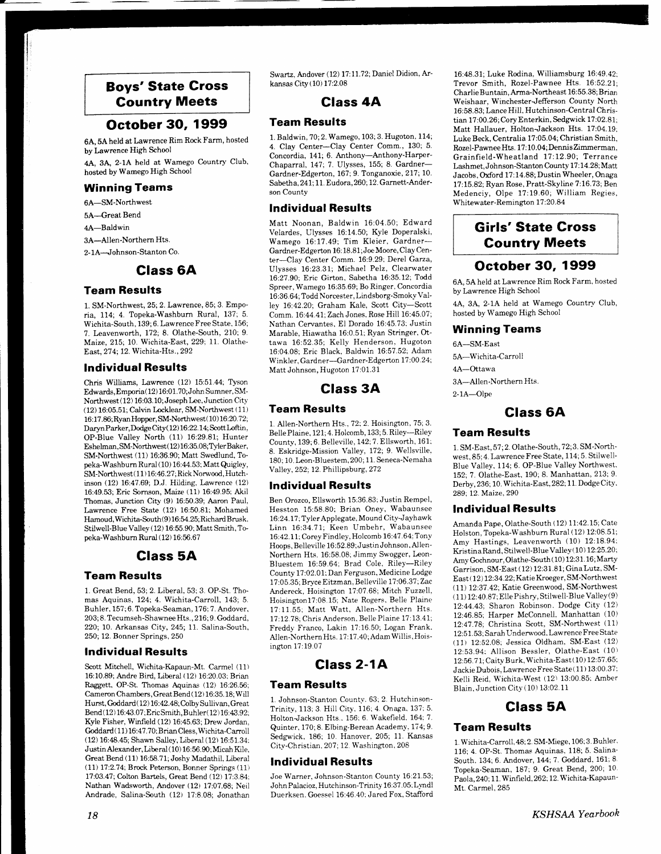## Boys'State Gross Gountry Meets

## October 3O, 1999

6A, 5A held at Lawrence Rim Rock Farm, hosted by Lawrence High School

4A, 3A, 2-1A held at Wamego Country Club, hosted by Wamego High School

### Winning Teams

6A-SM-Northwest

5A-Great Bend

4A-Baldwin

-\_-

3A-Allen-Northern Hts.

2- 1A-Johnson-Stanton Co.

### Glass 6A

### Team Results

1. SM-Northwest, 25; 2. Lawrence,85;3. Emporia, 114; 4. Topeka-Washburn Rural, 137; 5. Wichita-South, 139; 6. Lawrence Free State, 156; 7. Leavenworth, I72;8. Olathe-South, 210; 9. Maize, 215; 10. Wichita-East, 229; 11. Olathe-East, 27 4; 12. Wichita-Hts., 292

### lndividual Results

Chris Williams, Lawrence (12) 15:51.44; Tyson Edwards, Emporia( 12) 16:0 1. 70; John Sumner, SM-Northwest (12) 16:03.10; Joseph Lee, Junction City (12) 16:05.51; Calvin Locklear, SM-Northwest ( 11) 16: 17.86;RyanHopper, SM-Northwest( 10) 16:20.7 2; Daryn Parker, Dodge City(12)16:22.14; Scott Loftin, OP-Blue Valley North (11) 16:29.81; Hunter Eshelman, SM-Northwest(12)16:35.08;TylerBaker, SM-Northwest (11) 16:36.90; Matt Swedlund, Topeka-Washburn Rural ( 10) 16:44.53; Matt Quigley, SM-Northwest(11)16:46.27; Rick Norwood, Hutchinson (12) 16:47.69; D.J. Hilding, Lawrence (12) 16:49.5,3; Eric Sornson, Maize (11) 16:49.95: Akil Thomas, Junction City (9) 16:50.39; Aaron Paul, Lawrence Free State (12) 16:50.81; Mohamed Hamoud, Wichita-South(9) 16:54.25; Richard Brusk. Stilwell-Blue Valley (12) 16:55.90; Matt Smith, Topeka-Washburn Rural (12) 16:56.67

## Glass 5A

### Team Results

1. Great Bend,53; 2. Liberal,53; 3. OP-SI. Thomas Aquinas, 124;4. Wichita-Carroll, 143; 5. Buhler, 157; 6. Topeka-Seaman, 176; 7. Andover, 203; 8. Tecumseh-ShawneeHts., 216; 9. Goddard, 220; 10. Arkansas City, 245; 11. Salina-South, 250; 12. Bonner Springs, 250

### Individual Results

Scott Mitchell, Wichita-Kapaun-Mt. Carmel (11) 16:10.89; Andre Bird, Liberal (12) 16:20.03; Brian Raggett, OP-St. Thomas Aquinas (12) 16:26.56; Camemn Chambers, Great Bend ( 12) 16:35. 18; Will Hurst, Goddard( 12) 16:42.48; ColbySullivan, Great Bend (12) 16:43.07; Eric Smith, Buhler(12) 16:43.92; Kyle Fisher, Winfield (12) 16:45.63; Dreu' Jordan, Goddard (11) 16:47.70; Brian Cless, Wichita-Carroll (12) 16:48.45; Shawn Salley, Liberal (12) 16:51.34: JustinAlexander, Liberal ( 10) 16:56.90; Micah Kjle, Great Bend (11) 16:58.71; Joshy Madathil, Liberal (L1) 17 2.74: Brock Peterson, Bonner Springs (11) 17:03.47; Colton Bartels, Great Bend (12) 17:3.84; Nathan Wadsworth, Andover (12) 17:07.68; Neil Andrade, Salina-South (12) 17:8.08; Jonathan

18

Swartz, Andover (12) 17:11.72; Daniel Didion, Arkansas City (10) 17:2.08

### Glass 4A

### Team Results

1. Baldwin. 70;2. Wamego, 103;3. Hugoton. 114; 4. Clay Center-Clay Center Comm., 130; 5. Concordia, 141; 6. Anthony-Anthony-Harper-Chaparral, 147; 7. Ulysses, 155; 8. Gardner-Gardner-Edgerton, 167; 9. Tonganoxie, 217; 10. Sabetha, 241; 11. Eudora, 260; 12. Garnett-Anderson County

### lndividual Results

Matt Noonan, Baldwin 16:04.50; Edward Velardes, Ulysses 16:14.50; Kyle Doperalski, Wamego 16 17.49; Tim Kleier, Gardner-Gardner-Edgerton 16: 18.8 1 ; Joe Moore, Clay Center-Ciay Center Comm, 16:9.29; Derel Garza, Ulysses 16:23.31; Michael Pelz, Clearwater 16:27.90: Eric Girton, Sabetha 16:35.12; Todd Spreer, Wamego 16:35.69; Bo Ringer, Concordia 16:36.64; Todd Norcester, Lindsborg-Smoky Valley 76:42.20; Graham Kale, Scott City-Scott Comm. 1644.47:Zach Jones. Rose Hili 16:45.07; Nathan Cervantes. El Dorado 16:45.73'. Justin Marable, Hiawatha 16:0.51; Ryan Stringer, Ottawa 16:52.35; Kelly Henderson. Hugoton 16:04.08; Eric Black, Baldwin 16:57.52; Adam Winkler, Gardner-Gardner-Edgerton 17:00.24; Matt Johnson, Hugoton 17:01.31

### Glass 3A

### Team Results

1. Allen-Northern Hts., 72; 2. Hoisington. 75; 3. BellePlaine. 121; 4. Holcomb, 133; 5. Riley-Riley County, 139;6. Belleviile, 142; 7. Ellsworth, 1611 8. Eskridge-Mission Valley, 172; 9. Wellsviile, 180: 10. Leon-Bluestem, 200; 11. Seneca-Nemaha Valley. 252; 12. Phillipsburg, 272

#### Individual Results

Ben Orozco, Ellsworth 15:36.83; Justin Rempel, Hesston 15:58.80; Brian Oney, Wabaunsee 16:24.I7 ;Tyler Applegate, Mound City-Jayhawk Linn 16:34.71; Keen Umbehr, Wabaunsee 16:42.1L Corey Findley. Holcomb 16:47.64; Tony Hoops, Belleville 16:52.89; Justin Johnson, Allen-Northern Hts. 16:58.08; Jimmy Swogger, Leon-Bluestem 16:59.64; Brad Cole, Riley-Riley County 17:02.01; Dan Ferguson, Medicine Lodge 1 7 : 0 5.35; Bryce E itzman. Belleville 17 :06.37 ; Zac Andereck, Hoisington 17:07.68; Mitch Fuzzell, HoisingtonlT:08.15; Nate Rogers. Belle Plaine 1?:11.55; Matt Watt, Allen-Northern Hts. 17:12.78; Chris Anderson, Belle Plaine 17:13.41; Freddy Franco, Lakin 17:16.50; Logan Frank. Allen-Northern Hts. 17:17.40; Adam Willis, Hoisington 17:19.07

Class 2-1A

#### Team Results

1. Johnson-Stanton County. 63; 2. Hutchinson-Trinity, 113:3 Hill City. 116;4 Onaga, 137: 5. Holton-Jackson Hts.. 156; 6. Wakefield, 164; 7. Quinter, 170; 8. Elbing-Berean Academy. 17 4; 9. Sedgwick, 186; 10. Hanover, 205; 11. Kansas City-Christian, 207; 12. Washington, 208

#### lndividual Results

Joe Warner, Johnson-Stanton County 16:21.53; John Palacioz, Hutchinson-Trinity 16:37.05: Lyndl Duerksen. Goessel 16:46.40: Jared Fox, Staflord

16:48.31; Luke Rodina. Williamsburg 1649.42; Trevor Smith, Rozel-Pawnee Hts. 16:52.21; Charlie Buntain, Arma-Northeast 16:55. 38; Brian Weishaar, Winchester-Jefferson County North 16:58.83; Lance Hill, Hutchinson-Central Christian 17:00.26; Cory Enterkin, Sedgwick 17:02.81; Matt Hallauer, Holton-Jackson Hts. 17:04.19; Luke Beck, Centralia 17:05.04; Christian Smith, R.ozel-PawneeHts. 17: 10.04; DennisZimmerman. Grainfield-Wheatland 17:12.90; Terrance Lashmet, Johnson-Stanton County 17: 14.28; Matt Jacobs, Oxford 17:14.88; Dustin Wheeler, Onaga 17 I5.82; Ryan Rose, Pratt-Skyline 7:16.73; Ben Medenciy, Olpe 17:19.60; William Regies. Whitewater-Remington 17:20.84

## Girls'State Gross Country Meets

### October 30, 1999

6A, 5A held at Lawrence Rim Rock Farm, hosted by Lawrence High School

4A, 3A, 2-1A held at Wamego Country Club, hosted by Wamego High School

#### Winning Teams

6A-SM-East

5A-Wichita-Carroll

4A-Ottawa

3A-Ailen -Northern Hts.

2-1A-Olpe

## Class 64

#### Team Results

1. SM-East, 5?; 2. Olathe-South, 72;3. SM-Northwest,85:4. Lawrence Free State, 114; 5. Stilwell-Blue Valley, 114; 6. OP-Blue Valley Northwest. 152;7. Olathe-East, 190; 8. Manhattan,2l3;9. Derby, 236; 10. Wichita-East, 282; 11. Dodge City. 289; 12. Maize, 290

### lndividual Results

Amanda Pape, Olathe-South (12) 11:42.15; Cate Holston, Topeka-Washburn Rural (12) 12:08.51; Amy Hastings, Leavenworth (10) 12:18.94; Kristina Rand, Stilwell-Blue Valley (10) 12:25.20; Amy Gochnour, Olathe-South (10) 12:31.16; Marty Garrison. SM-East ( 12) 12 :3 1.8 1 ; Gina Lutz, SM-East (12) 12:34.22; Katie Kroeger, SM-Northwest<br>(11) 12:37.42; Katie Greenwood, SM-Northwest  $(11)$  12:40.87; Elle Pishry, Stilwell-Blue Valley (9) 12:44.43; Sharon Robinson. Dodge City (12) 12:46.85; Harper McConnell, Manhattan (10) 12:47.78; Christina Scott, SM-Northwest (11) 12:51.53, Sarah Underwood, Lawrence Free State (11) 12:52.08; Jessica Oldham, SM-East (12) 12:53.94: Allison Bessler, Olathe-East (10) 12:56.71; Caity Burk, Wichita-East (10) 12:57.65; Jackie Dubois, Lawrence Free State( 11) 13:00.37; Kelli Reid, Wichita-West (12) 13:00.85: Amber Blain, Junction City (10) 13:02.11

## Glass 5A

### Team Results

1. Wichita-Caroll, 48; 2. SM-Miege, 106; 3. Buhler' 116; 4. OP-St. Thomas Aquinas. 118; 5. Salina-South. 134;6, Andover, I44;7. Goddard. 161; 8 Topeka-Seaman, 187: 9. Great Bend, 200; 10' Paola.240: 11. Winfield. 262; 12. Wichita-Kapaun-Mt. Carmel,285